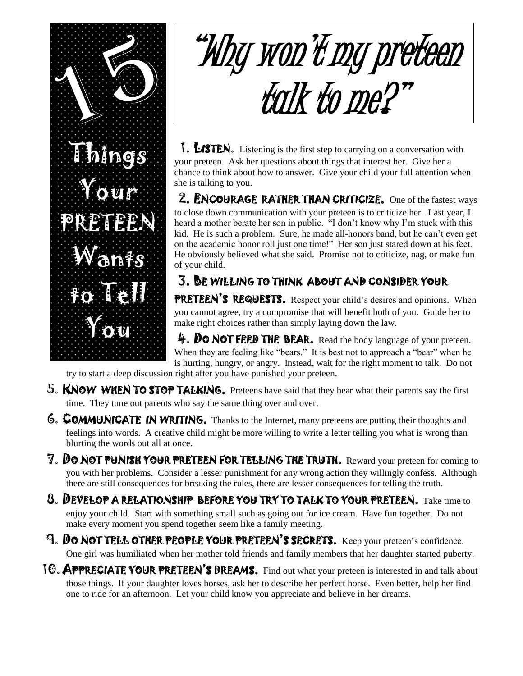

## "Why won't my preteen talk to me?"

**1. LISTEN.** Listening is the first step to carrying on a conversation with your preteen. Ask her questions about things that interest her. Give her a chance to think about how to answer. Give your child your full attention when she is talking to you.

2. ENCOURAGE RATHER THAN CRITICIZE.One of the fastest ways to close down communication with your preteen is to criticize her. Last year, I heard a mother berate her son in public. "I don't know why I'm stuck with this kid. He is such a problem. Sure, he made all-honors band, but he can't even get on the academic honor roll just one time!" Her son just stared down at his feet. He obviously believed what she said. Promise not to criticize, nag, or make fun of your child.

## 3. BE WILLING TO THINK ABOUT AND CONSIDER YOUR

PRETEEN'S REQUESTS. Respect your child's desires and opinions. When you cannot agree, try a compromise that will benefit both of you. Guide her to make right choices rather than simply laying down the law.

 $\hat{+}$ . DO NOT FEED THE BEAR. Read the body language of your preteen. When they are feeling like "bears." It is best not to approach a "bear" when he is hurting, hungry, or angry. Instead, wait for the right moment to talk. Do not

try to start a deep discussion right after you have punished your preteen.

- 5. KNOW WHEN TO STOP TALKING. Preteens have said that they hear what their parents say the first time. They tune out parents who say the same thing over and over.
- **6. COMMUNICATE IN WRITING.** Thanks to the Internet, many preteens are putting their thoughts and feelings into words. A creative child might be more willing to write a letter telling you what is wrong than blurting the words out all at once.
- 7. DO NOT PUNISH YOUR PRETEEN FOR TELLING THE TRUTH. Reward your preteen for coming to you with her problems. Consider a lesser punishment for any wrong action they willingly confess. Although there are still consequences for breaking the rules, there are lesser consequences for telling the truth.
- 8. DEVELOP A RELATIONSHIP BEFORE YOU TRY TO TALK TO YOUR PRETEEN. Take time to enjoy your child. Start with something small such as going out for ice cream. Have fun together. Do not make every moment you spend together seem like a family meeting.
- 9. DO NOT TELL OTHER PEOPLE YOUR PRETEEN'S SECRETS. Keep your preteen's confidence. One girl was humiliated when her mother told friends and family members that her daughter started puberty.
- 10. APPRECIATE YOUR PRETEEN'S DREAMS. Find out what your preteen is interested in and talk about those things. If your daughter loves horses, ask her to describe her perfect horse. Even better, help her find one to ride for an afternoon. Let your child know you appreciate and believe in her dreams.